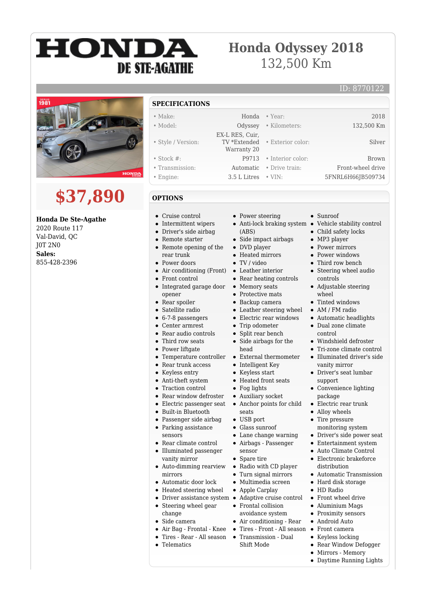# HONDA **DE STE-AGATHE**

### **Honda Odyssey 2018** 132,500 Km

### ID: 8770122



## **\$37,890**

### **Honda De Ste-Agathe**

2020 Route 117 Val-David, QC J0T 2N0 **Sales:** 855-428-2396

- **SPECIFICATIONS**
- Make: Honda Year: 2018
- Model: Odyssey Kilometers: 132,500 Km
- Style / Version:
- Stock #: P9713 Interior color: Brown
- Transmission: Automatic Drive train: Front-wheel drive
- Engine: 3.5 L Litres VIN: 5FNRL6H66JB509734
- **OPTIONS**
- Cruise control
- Intermittent wipers
- Driver's side airbag  $\bullet$
- Remote starter  $\bullet$ Remote opening of the  $\bullet$
- rear trunk
- Power doors
- Air conditioning (Front)
- Front control
- Integrated garage door opener
- Rear spoiler
- Satellite radio
- 6-7-8 passengers  $\bullet$
- Center armrest  $\bullet$
- Rear audio controls
- Third row seats
- Power liftgate
- Temperature controller
- $\bullet$ Rear trunk access
- $\bullet$ Keyless entry
- Anti-theft system  $\bullet$
- Traction control  $\bullet$
- Rear window defroster  $\bullet$
- $\bullet$ Electric passenger seat
- Built-in Bluetooth
- $\bullet$ Passenger side airbag
- Parking assistance
- sensors
- Rear climate control  $\bullet$
- Illuminated passenger vanity mirror
- Auto-dimming rearview mirrors
- Automatic door lock
- Heated steering wheel
- 
- Steering wheel gear  $\bullet$ change
- Side camera
- Air Bag Frontal Knee
- $\bullet$ Tires - Rear - All season Transmission - Dual
- Telematics
- Power steering
- (ABS)

 EX-L RES, Cuir, TV \*Extended Warranty 20

- Side impact airbags
- DVD player
- Heated mirrors
- TV / video
- Leather interior
- Rear heating controls
- Memory seats
- Protective mats
- Backup camera
- Leather steering wheel
- Electric rear windows • Trip odometer
- 
- Split rear bench • Side airbags for the
- head
- External thermometer  $\bullet$
- $\bullet$ Intelligent Key
- Keyless start
- $\bullet~$  Heated front seats
- Fog lights
- Auxiliary socket
- $\bullet$ Anchor points for child seats
- USB port
- Glass sunroof
- Lane change warning
- Airbags Passenger
- sensor • Spare tire
- Radio with CD player
- Turn signal mirrors
- Multimedia screen
- Apple Carplay
- Driver assistance system Adaptive cruise control
	- Frontal collision avoidance system
	- Air conditioning Rear
	- Tires Front All season Front camera
	- Shift Mode

• Sunroof

• Exterior color: Silver

- Anti-lock braking system Vehicle stability control
	- Child safety locks
	- MP3 player
	- Power mirrors
	- Power windows
	- Third row bench
	- Steering wheel audio controls
	- Adjustable steering wheel

Automatic headlights Dual zone climate control

Windshield defroster Tri-zone climate control Illuminated driver's side vanity mirror Driver's seat lumbar

Convenience lighting

Automatic Transmission • Hard disk storage HD Radio Front wheel drive Aluminium Mags • Proximity sensors Android Auto

• Keyless locking Rear Window Defogger Mirrors - Memory Daytime Running Lights

support

package • Electric rear trunk • Alloy wheels • Tire pressure monitoring system Driver's side power seat Entertainment system Auto Climate Control Electronic brakeforce distribution

 $\bullet$  $\bullet$ 

• Tinted windows • AM / FM radio